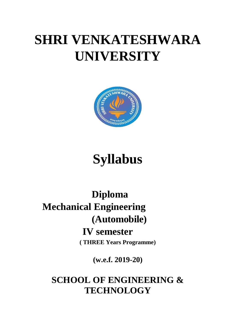# **SHRI VENKATESHWARA UNIVERSITY**



## **Syllabus**

### **Diploma Mechanical Engineering (Automobile) IV semester ( THREE Years Programme)**

**(w.e.f. 2019-20)**

**SCHOOL OF ENGINEERING & TECHNOLOGY**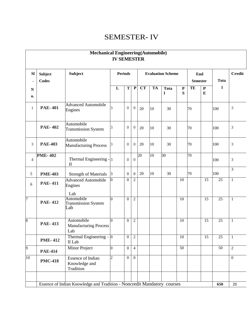### SEMESTER- IV

| <b>SI</b>       | <b>Subject</b><br><b>Codes</b> | <b>Subject</b>                                         |                | <b>Periods</b>   |                  |                        |           | <b>Evaluation Scheme</b> |                 | End<br><b>Semester</b> |                        | <b>Tota</b>     | <b>Credit</b>  |
|-----------------|--------------------------------|--------------------------------------------------------|----------------|------------------|------------------|------------------------|-----------|--------------------------|-----------------|------------------------|------------------------|-----------------|----------------|
| ${\bf N}$<br>0. |                                |                                                        | L              | T                | $\mathbf P$      | $\overline{\text{CT}}$ | <b>TA</b> | <b>Tota</b><br>1         | ${\bf P}$<br>S  | TE                     | ${\bf P}$<br>${\bf E}$ | 1               |                |
| $\mathbf{1}$    | <b>PAE-401</b>                 | <b>Advanced Automobile</b><br>Engines                  | 3              | $\boldsymbol{0}$ | $\overline{0}$   | 20                     | 10        | 30                       |                 | 70                     |                        | 100             | 3              |
|                 | <b>PAE-402</b>                 | Automobile<br><b>Transmission System</b>               | 3              | $\mathbf{0}$     | $\boldsymbol{0}$ | 20                     | 10        | 30                       |                 | 70                     |                        | 100             | 3              |
| 3               | <b>PAE-403</b>                 | Automobile<br><b>Manufacturing Process</b>             | 3              | $\boldsymbol{0}$ | $\overline{0}$   | 20                     | 10        | 30                       |                 | 70                     |                        | 100             | 3              |
| $\overline{4}$  | <b>PME-402</b>                 | Thermal Engineering $-3$<br>$\mathbf{I}$               |                | $\overline{0}$   | $\overline{0}$   | 20                     | 10        | 30                       |                 | $\overline{70}$        |                        | 100             | 3              |
| 5               | <b>PME-403</b>                 | <b>Strength of Materials</b>                           | 3              | $\boldsymbol{0}$ | $\overline{0}$   | 20                     | 10        | 30                       |                 | 70                     |                        | 100             | 3              |
| 6               | <b>PAE-411</b>                 | <b>Advanced Automobile</b><br>Engines<br>Lab           |                | $\Omega$         | $\overline{2}$   |                        |           |                          | $\overline{10}$ |                        | $\overline{15}$        | $\overline{25}$ | $\mathbf{1}$   |
|                 | <b>PAE-412</b>                 | Automobile<br><b>Transmission System</b><br>Lab        | $\Omega$       | $\mathbf{0}$     | $\overline{2}$   |                        |           |                          | $\overline{10}$ |                        | $\overline{15}$        | $\overline{25}$ | $\mathbf{1}$   |
|                 | <b>PAE-413</b>                 | Automobile<br>Manufacturing Process<br>Lab             |                | $\theta$         | $\overline{2}$   |                        |           |                          | 10              |                        | $\overline{15}$        | $\overline{25}$ | 1              |
|                 | <b>PME-412</b>                 | Thermal Engineering $-10$<br>II Lab                    |                | $\mathbf{0}$     | $\overline{2}$   |                        |           |                          | 10              |                        | 15                     | 25              | 1              |
|                 | <b>PAE-414</b>                 | <b>Minor Project</b>                                   | 0              | $\mathbf{0}$     | $\overline{4}$   |                        |           |                          | $\overline{50}$ |                        |                        | 50              | $\overline{2}$ |
| 10              | <b>PMC-418</b>                 | <b>Essence of Indian</b><br>Knowledge and<br>Tradition | $\overline{2}$ | $\overline{0}$   | $\overline{0}$   |                        |           |                          |                 |                        |                        |                 | $\overline{0}$ |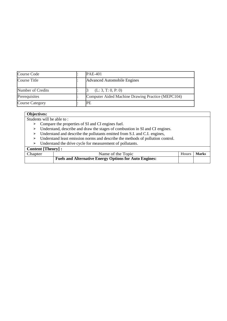| Course Code            | <b>PAE-401</b>                                    |
|------------------------|---------------------------------------------------|
| Course Title           | Advanced Automobile Engines                       |
| Number of Credits      | (L: 3, T: 0, P: 0)                                |
| Prerequisites          | Computer Aided Machine Drawing Practice (MEPC104) |
| <b>Course Category</b> | IPE                                               |

#### **Objectives:**

Students will be able to :

- ➢ Compare the properties of SI and CI engines fuel.
- ➢ Understand, describe and draw the stages of combustion in SI and CI engines.
- ➢ Understand and describe the pollutants emitted from S.I. and C.I. engines,
- ➢ Understand least emission norms and describe the methods of pollution control.
- ➢ Understand the drive cycle for measurement of pollutants.

|         | Content [Theory] :                                            |       |       |  |  |  |  |  |
|---------|---------------------------------------------------------------|-------|-------|--|--|--|--|--|
| Chapter | Name of the Topic                                             | Hours | Marks |  |  |  |  |  |
|         | <b>Fuels and Alternative Energy Options for Auto Engines:</b> |       |       |  |  |  |  |  |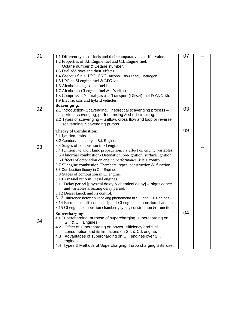| 01 | 1.1 Different types of fuels and their comparative calorific value.<br>1.2 Properties of S.I. Engine fuel and C.I. Engine fuel.<br>Octane number & Cetane number.<br>1.3 Fuel additives and their effects.<br>1.4 Gaseous fuels- LPG, CNG, Alcohol, Bio-Diesel, Hydrogen.<br>1.5 LPG as SI engine fuel & LPG kit.<br>1.6 Alcohol and gasoline fuel blend.<br>1.7 Alcohol as CI engine fuel $&$ it's effect.<br>1.8 Compressed Natural gas as a Transport (Diesel) fuel & CNG Kit.<br>1.9 Electric cars and hybrid vehicles.                                                                                                                                                                                                                                                                                                                                                                                                                | 07 |  |
|----|--------------------------------------------------------------------------------------------------------------------------------------------------------------------------------------------------------------------------------------------------------------------------------------------------------------------------------------------------------------------------------------------------------------------------------------------------------------------------------------------------------------------------------------------------------------------------------------------------------------------------------------------------------------------------------------------------------------------------------------------------------------------------------------------------------------------------------------------------------------------------------------------------------------------------------------------|----|--|
| 02 | Scavenging:<br>2.1 Introduction- Scavenging, Theoretical scavenging process -<br>perfect scavenging, perfect mixing & short circuiting.<br>2.2 Types of scavenging – uniflow, cross flow and loop or reverse<br>scavenging. Scavenging pumps.                                                                                                                                                                                                                                                                                                                                                                                                                                                                                                                                                                                                                                                                                              | 03 |  |
| 03 | <b>Theory of Combustion:</b><br>3.1 Ignition limits.<br>3.2 Combustion theory in S.I. Engine.<br>3.3 Stages of combustion in SI engine<br>3.4 Ignition lag and Flame propagation, its'effect on engine variables.<br>3.5 Abnormal combustion- Detonation, pre-ignition, surface Ignition.<br>3.6 Effects of detonation on engine performance & it's control.<br>3.7 SI engine combustion Chambers, types, construction & function.<br>3.8 Combustion theory in C.I. Engine.<br>3.9 Stages of combustion in CI engine.<br>3.10 Air Fuel ratio in Diesel engines<br>3.11 Delay period [physical delay & chemical delay] - significance<br>and variables affecting delay period.<br>3.12 Diesel knock and its control.<br>3.13 Difference between knocking phenomena in S.I. and C.I. Engines.<br>3.14 Factors that affect the design of CI engine combustion chamber.<br>3.15 CI engine combustion chambers, types, construction & function. | 09 |  |
| 04 | Supercharging:<br>4.1 Supercharging, purpose of supercharging, supercharging on<br>S.I. & C.I. Engines.<br>4.2 Effect of supercharging on power, efficiency and fuel<br>consumption and its limitations on S.I. & C.I. engine.<br>4.3 Advantages of supercharging on C.I. engines over S.I.<br>engines.<br>4.4 Types & Methods of Supercharging, Turbo charging & its' use.                                                                                                                                                                                                                                                                                                                                                                                                                                                                                                                                                                | 04 |  |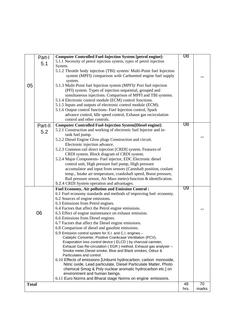|              | Part-I  | <b>Computer Controlled Fuel-Injection System [petrol engine]:</b>                                                          | 08   |       |
|--------------|---------|----------------------------------------------------------------------------------------------------------------------------|------|-------|
|              |         | 5.1.1 Necessity of petrol injection system, types of petrol injection                                                      |      |       |
|              | 5.1     | System.                                                                                                                    |      |       |
|              |         | 5.1.2 Throttle body injection (TBI) system/ Multi-Point fuel Injection                                                     |      |       |
|              |         | system (MPFI) comparison with Carbureted engine fuel supply                                                                |      |       |
|              |         | system.                                                                                                                    |      |       |
| 05           |         | 5.1.3 Multi-Point fuel Injection system (MPFI)/ Port fuel injection                                                        |      |       |
|              |         | (PFI) system. Types of injection sequential, grouped and                                                                   |      |       |
|              |         | simultaneous injections. Comparison of MPFI and TBI systems.                                                               |      |       |
|              |         | 5.1.4 Electronic control module (ECM) control functions.                                                                   |      |       |
|              |         | 5.1.5 Inputs and outputs of electronic control module (ECM).                                                               |      |       |
|              |         | 5.1.6 Output control functions- Fuel Injection control, Spark                                                              |      |       |
|              |         | advance control, Idle speed control, Exhaust gas recirculation                                                             |      |       |
|              |         | control and other controls.                                                                                                |      |       |
|              |         | <b>Computer Controlled Fuel-Injection System[Diesel engine]:</b>                                                           | 08   |       |
|              | Part-II | 5.2.1 Construction and working of electronic fuel Injector and in-                                                         |      |       |
|              | 5.2     | tank fuel pump.                                                                                                            |      |       |
|              |         | 5.2.2 Diesel Engine Glow plugs Construction and circuit.                                                                   |      |       |
|              |         | Electronic injection advance.                                                                                              |      |       |
|              |         |                                                                                                                            |      |       |
|              |         | 5.2.3 Common rail direct injection [CRDI] system. Features of                                                              |      |       |
|              |         | CRDI system. Block diagram of CRDI system.<br>5.2.4 Major Components- Fuel injector, EDC Electronic diesel                 |      |       |
|              |         | control unit, High pressure fuel pump, High pressure                                                                       |      |       |
|              |         |                                                                                                                            |      |       |
|              |         | accumulator and input from sensors (Camshaft position, coolant                                                             |      |       |
|              |         | temp., Intake air temperature, crankshaft speed, Boost pressure,                                                           |      |       |
|              |         | Rail pressure sensor, Air Mass meter)-function & identification.<br>5.2.4 CRDI System operation and advantages.            |      |       |
|              |         |                                                                                                                            | 09   |       |
|              |         | <b>Fuel Economy, Air pollution and Emission Control:</b>                                                                   |      |       |
|              |         | 6.1 Fuel economy standards and methods of improving fuel economy.                                                          |      |       |
|              |         | 6.2 Sources of engine emissions.<br>6.3 Emissions from Petrol engines.                                                     |      |       |
|              |         |                                                                                                                            |      |       |
|              | 06      | 6.4 Factors that affect the Petrol engine emissions.                                                                       |      |       |
|              |         | 6.5 Effect of engine maintenance on exhaust emission.                                                                      |      |       |
|              |         | 6.6 Emissions from Diesel engines.                                                                                         |      |       |
|              |         | 6.7 Factors that affect the Diesel engine emissions.                                                                       |      |       |
|              |         | 6.8 Comparison of diesel and gasoline emissions.                                                                           |      |       |
|              |         | 6.9 Emission control system for S.I. and C.I. engines -                                                                    |      |       |
|              |         | Catalytic Converter, Positive Crankcase Ventilation (PCV),<br>Evaporation loss control device (ELCD) by charcoal canister, |      |       |
|              |         | Exhaust Gas Re-circulation (EGR) method, Exhaust gas analyser -                                                            |      |       |
|              |         | Smoke meter, Diesel smoke, Blue and Black smokes, Odour &                                                                  |      |       |
|              |         | Particulates and control.                                                                                                  |      |       |
|              |         | 6.10 Effects of emissions [Unburnt hydrocarbon, carbon monoxide,                                                           |      |       |
|              |         | Nitric oxide, Lead particulate, Diesel Particulate Matter, Photo                                                           |      |       |
|              |         | chemical Smog & Poly nuclear aromatic hydrocarbon etc.] on                                                                 |      |       |
|              |         | environment and human beings.                                                                                              |      |       |
|              |         | 6.11 Euro Norms and Bharat stage Norms on engine emissions.                                                                |      |       |
| <b>Total</b> |         |                                                                                                                            | 48   | 70    |
|              |         |                                                                                                                            | hrs. | marks |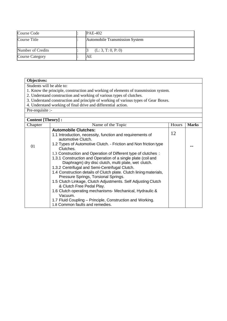| Course Code            | <b>PAE-402</b>                 |
|------------------------|--------------------------------|
| Course Title           | Automobile Transmission System |
| Number of Credits      | (L: 3, T: 0, P: 0)             |
| <b>Course Category</b> | AE                             |

#### **Objectives:**

Students will be able to:

1. Know the principle, construction and working of elements of transmission system.

- 2. Understand construction and working of various types of clutches.
- 3. Understand construction and principle of working of various types of Gear Boxes.
- 4. Understand working of final drive and differential action.

Pre-requisite :-

| <b>Content [Theory]:</b> |                                                                    |       |              |  |  |  |  |  |
|--------------------------|--------------------------------------------------------------------|-------|--------------|--|--|--|--|--|
| Chapter                  | Name of the Topic                                                  | Hours | <b>Marks</b> |  |  |  |  |  |
|                          |                                                                    |       |              |  |  |  |  |  |
|                          | <b>Automobile Clutches:</b>                                        | 12    |              |  |  |  |  |  |
|                          | 1.1 Introduction, necessity, function and requirements of          |       |              |  |  |  |  |  |
|                          | automotive Clutch.                                                 |       |              |  |  |  |  |  |
| 01                       | 1.2 Types of Automotive Clutch. - Friction and Non friction type   |       |              |  |  |  |  |  |
|                          | Clutches.                                                          |       |              |  |  |  |  |  |
|                          | 1.3 Construction and Operation of Different type of clutches :     |       |              |  |  |  |  |  |
|                          | 1.3.1 Construction and Operation of a single plate (coil and       |       |              |  |  |  |  |  |
|                          | Diaphragm) dry disc clutch, multi plate, wet clutch.               |       |              |  |  |  |  |  |
|                          | 1.3.2 Centrifugal and Semi-Centrifugal Clutch.                     |       |              |  |  |  |  |  |
|                          | 1.4 Construction details of Clutch plate. Clutch lining materials, |       |              |  |  |  |  |  |
|                          | Pressure Springs, Torsional Springs.                               |       |              |  |  |  |  |  |
|                          | 1.5 Clutch Linkage, Clutch Adjustments. Self Adjusting Clutch      |       |              |  |  |  |  |  |
|                          | & Clutch Free Pedal Play.                                          |       |              |  |  |  |  |  |
|                          | 1.6 Clutch operating mechanisms- Mechanical, Hydraulic &           |       |              |  |  |  |  |  |
|                          | Vacuum.                                                            |       |              |  |  |  |  |  |
|                          | 1.7 Fluid Coupling - Principle, Construction and Working.          |       |              |  |  |  |  |  |
|                          | 1.8 Common faults and remedies.                                    |       |              |  |  |  |  |  |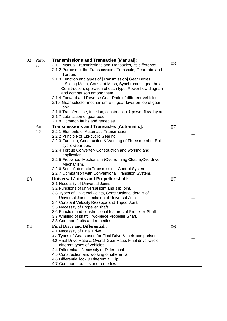| 02 | Part-I  | <b>Transmissions and Transaxles [Manual]:</b>                                   |    |  |
|----|---------|---------------------------------------------------------------------------------|----|--|
|    | 2.1     | 2.1.1 Manual Transmissions and Transaxles, its'difference.                      | 08 |  |
|    |         | 2.1.2 Purpose of the Transmission / Transaxle, Gear ratio and                   |    |  |
|    |         | Torque.                                                                         |    |  |
|    |         | 2.1.3 Function and types of [Transmission] Gear Boxes                           |    |  |
|    |         | - Sliding Mesh, Constant Mesh, Synchromesh gear box -                           |    |  |
|    |         | Construction, operation of each type, Power flow diagram                        |    |  |
|    |         | and comparison among them.                                                      |    |  |
|    |         | 2.1.4 Forward and Reverse Gear Ratio of different vehicles.                     |    |  |
|    |         | 2.1.5 Gear selector mechanism with gear lever on top of gear<br>box.            |    |  |
|    |         | 2.1.6 Transfer case, function, construction & power flow layout.                |    |  |
|    |         | 2.1.7 Lubrication of gear box.                                                  |    |  |
|    |         | 2.1.8 Common faults and remedies.                                               |    |  |
|    | Part-II | <b>Transmissions and Transaxles [Automatic]:</b>                                | 07 |  |
|    | 2.2     | 2.2.1 Elements of Automatic Transmission.                                       |    |  |
|    |         | 2.2.2 Principle of Epi-cyclic Gearing.                                          |    |  |
|    |         | 2.2.3 Function, Construction & Working of Three member Epi-                     |    |  |
|    |         | cyclic Gear box.                                                                |    |  |
|    |         | 2.2.4 Torque Converter- Construction and working and                            |    |  |
|    |         | application.                                                                    |    |  |
|    |         | 2.2.5 Freewheel Mechanism (Overrunning Clutch), Overdrive<br>Mechanism.         |    |  |
|    |         | 2.2.6 Semi-Automatic Transmission, Control System.                              |    |  |
|    |         | 2.2.7 Comparison with Conventional Transition System.                           |    |  |
| 03 |         | <b>Universal Joints and Propeller shaft:</b>                                    | 07 |  |
|    |         | 3.1 Necessity of Universal Joints.                                              |    |  |
|    |         | 3.2 Functions of universal joint and slip joint.                                |    |  |
|    |         | 3.3 Types of Universal Joints, Constructional details of                        |    |  |
|    |         | Universal Joint, Limitation of Universal Joint.                                 |    |  |
|    |         | 3.4 Constant Velocity Rezappa and Tripod Joint.                                 |    |  |
|    |         | 3.5 Necessity of Propeller shaft.                                               |    |  |
|    |         | 3.6 Function and constructional features of Propeller Shaft.                    |    |  |
|    |         | 3.7 Whirling of shaft, Two-piece Propeller Shaft.                               |    |  |
|    |         | 3.8 Common faults and remedies.                                                 |    |  |
| 04 |         | <b>Final Drive and Differential:</b>                                            | 06 |  |
|    |         | 4.1 Necessity of Final Drive.                                                   |    |  |
|    |         | 4.2 Types of Gears used for Final Drive & their comparison.                     |    |  |
|    |         | 4.3 Final Drive Ratio & Overall Gear Ratio. Final drive ratio of                |    |  |
|    |         | different types of vehicles.                                                    |    |  |
|    |         | 4.4 Differential - Necessity of Differential.                                   |    |  |
|    |         | 4.5 Construction and working of differential.                                   |    |  |
|    |         | 4.6 Differential lock & Differential Slip.<br>4.7 Common troubles and remedies. |    |  |
|    |         |                                                                                 |    |  |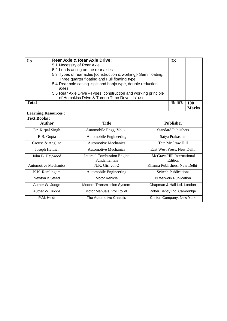| 05                          | Rear Axle & Rear Axle Drive:<br>5.1 Necessity of Rear Axle.<br>5.2 Loads acting on the rear axles. | 5.3 Types of rear axles [construction & working]- Semi floating,                                               | 08                           |                                      |  |  |  |
|-----------------------------|----------------------------------------------------------------------------------------------------|----------------------------------------------------------------------------------------------------------------|------------------------------|--------------------------------------|--|--|--|
|                             |                                                                                                    | Three quarter floating and Full floating type.<br>5.4 Rear axle casing- split and banjo type, double reduction |                              |                                      |  |  |  |
|                             | axles.                                                                                             | 5.5 Rear Axle Drive - Types, construction and working principle                                                |                              |                                      |  |  |  |
|                             |                                                                                                    | of Hotchkiss Drive & Torque Tube Drive, its' use.                                                              |                              |                                      |  |  |  |
| <b>Total</b>                |                                                                                                    | 48 hrs                                                                                                         | 100<br><b>Marks</b>          |                                      |  |  |  |
| <b>Learning Resources:</b>  |                                                                                                    |                                                                                                                |                              |                                      |  |  |  |
| <b>Text Books:</b>          |                                                                                                    |                                                                                                                |                              |                                      |  |  |  |
| <b>Author</b>               |                                                                                                    | <b>Title</b>                                                                                                   |                              | <b>Publisher</b>                     |  |  |  |
| Dr. Kirpal Singh            |                                                                                                    | Automobile Engg. Vol.-1                                                                                        |                              | <b>Standard Publishers</b>           |  |  |  |
| R.B. Gupta                  |                                                                                                    | Automobile Engineering                                                                                         |                              | Satya Prakashan                      |  |  |  |
| Crouse & Angline            |                                                                                                    | <b>Automotive Mechanics</b>                                                                                    |                              | Tata McGraw Hill                     |  |  |  |
| Joseph Heitner              |                                                                                                    | <b>Automotive Mechanics</b>                                                                                    | East West Press, New Delhi   |                                      |  |  |  |
| John B. Heywood             |                                                                                                    | <b>Internal Combustion Engine</b><br>Fundamentals                                                              |                              | McGraw-Hill International<br>Edition |  |  |  |
| <b>Automotive Mechanics</b> |                                                                                                    | N.K. Giri vol-2                                                                                                | Khanna Publishers, New Delhi |                                      |  |  |  |
| K.K. Ramlingam              |                                                                                                    | Automobile Engineering                                                                                         | <b>Scitech Publications</b>  |                                      |  |  |  |
| Newton & Steed              |                                                                                                    | Motor Vehicle                                                                                                  |                              | <b>Butterwork Publication</b>        |  |  |  |
| Auther W. Judge             |                                                                                                    | Modern Transmission System                                                                                     | Chapman & Hall Ltd. London   |                                      |  |  |  |
| Auther W. Judge             |                                                                                                    | Motor Manuals, Vol I to VI                                                                                     | Rober Bently Inc, Cambridge  |                                      |  |  |  |
| P.M. Heldt                  |                                                                                                    | The Automotive Chassis                                                                                         |                              | Chilton Company, New York            |  |  |  |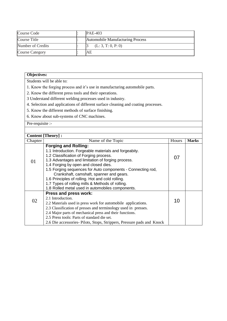| Course Code            | $PAE-403$                        |
|------------------------|----------------------------------|
| Course Title           | Automobile Manufacturing Process |
| Number of Credits      | (L: 3, T: 0, P: 0)               |
| <b>Course Category</b> | AE                               |

#### **Objectives:**

Students will be able to:

- 1. Know the forging process and it's use in manufacturing automobile parts.
- 2. Know the different press tools and their operations.
- 3 Understand different welding processes used in industry.
- 4. Selection and applications of different surface cleaning and coating processes.
- 5. Know the different methods of surface finishing.
- 6. Know about sub-systems of CNC machines.

Pre-requisite :-

| <b>Content [Theory]:</b> |                                                                                                                                                                                                                                                                                                                                                                                                                                                                                                    |       |              |  |  |  |  |  |
|--------------------------|----------------------------------------------------------------------------------------------------------------------------------------------------------------------------------------------------------------------------------------------------------------------------------------------------------------------------------------------------------------------------------------------------------------------------------------------------------------------------------------------------|-------|--------------|--|--|--|--|--|
| Chapter                  | Name of the Topic                                                                                                                                                                                                                                                                                                                                                                                                                                                                                  | Hours | <b>Marks</b> |  |  |  |  |  |
| 01                       | <b>Forging and Rolling:</b><br>1.1 Introduction. Forgeable materials and forgeabity.<br>1.2 Classification of Forging process.<br>1.3 Advantages and limitation of forging process.<br>1.4 Forging by open and closed dies.<br>1.5 Forging sequences for Auto components - Connecting rod,<br>Crankshaft, camshaft, spanner and gears.<br>1.6 Principles of rolling. Hot and cold rolling.<br>1.7 Types of rolling mills & Methods of rolling.<br>1.8 Rolled metal used in automobiles components. | 07    |              |  |  |  |  |  |
| 02                       | Press and press work:<br>2.1 Introduction.<br>2.2 Materials used in press work for automobile applications.<br>2.3 Classification of presses and terminology used in presses.<br>2.4 Major parts of mechanical press and their functions.<br>2.5 Press tools: Parts of standard die set.<br>2.6 Die accessories-Pilots, Stops, Strippers, Pressure pads and Knock                                                                                                                                  | 10    |              |  |  |  |  |  |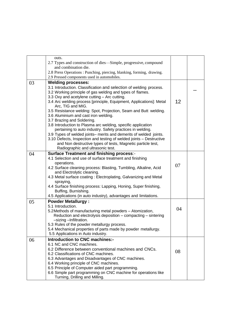|    | outs.                                                                                                                                                                                                                                                                                                                                                                                                                                                                                                                                                                                                                                                                                                                                                                                      |    |  |
|----|--------------------------------------------------------------------------------------------------------------------------------------------------------------------------------------------------------------------------------------------------------------------------------------------------------------------------------------------------------------------------------------------------------------------------------------------------------------------------------------------------------------------------------------------------------------------------------------------------------------------------------------------------------------------------------------------------------------------------------------------------------------------------------------------|----|--|
|    | 2.7 Types and construction of dies—Simple, progressive, compound<br>and combination die.                                                                                                                                                                                                                                                                                                                                                                                                                                                                                                                                                                                                                                                                                                   |    |  |
|    | 2.8 Press Operations : Punching, piercing, blanking, forming, drawing.<br>2.9 Pressed components used in automobiles.                                                                                                                                                                                                                                                                                                                                                                                                                                                                                                                                                                                                                                                                      |    |  |
|    |                                                                                                                                                                                                                                                                                                                                                                                                                                                                                                                                                                                                                                                                                                                                                                                            |    |  |
| 03 | <b>Welding processes:</b><br>3.1 Introduction. Classification and selection of welding process.<br>3.2 Working principle of gas welding and types of flames.<br>3.3 Oxy and acetylene cutting - Arc cutting.<br>3.4 Arc welding process [principle, Equipment, Applications]: Metal<br>Arc, TIG and MIG.<br>3.5 Resistance welding: Spot, Projection, Seam and Butt welding.<br>3.6 Aluminium and cast iron welding.<br>3.7 Brazing and Soldering.<br>3.8 Introduction to Plasma arc welding, specific application<br>pertaining to auto industry. Safety practices in welding.<br>3.9 Types of welded joints- merits and demerits of welded joints.<br>3.10 Defects, Inspection and testing of welded joints - Destructive<br>and Non destructive types of tests, Magnetic particle test, | 12 |  |
|    | Radiographic and ultrasonic test.                                                                                                                                                                                                                                                                                                                                                                                                                                                                                                                                                                                                                                                                                                                                                          |    |  |
| 04 | <b>Surface Treatment and finishing process:-</b><br>4.1 Selection and use of surface treatment and finishing                                                                                                                                                                                                                                                                                                                                                                                                                                                                                                                                                                                                                                                                               |    |  |
|    | operations.<br>4.2 Surface cleaning process: Blasting, Tumbling, Alkaline, Acid<br>and Electrolytic cleaning.<br>4.3 Metal surface coating: Electroplating, Galvanizing and Metal<br>spraying,<br>4.4 Surface finishing process: Lapping, Honing, Super finishing,<br>Buffing, Burnishing.<br>4.5 Applications (in auto industry), advantages and limitations.                                                                                                                                                                                                                                                                                                                                                                                                                             | 07 |  |
| 05 | <b>Powder Metallurgy:</b><br>5.1 Introduction.<br>5.2Methods of manufacturing metal powders - Atomization,<br>Reduction and electrolysis deposition - compacting - sintering<br>-sizing -Infiltration.<br>5.3 Rules of the powder metallurgy process.<br>5.4 Mechanical properties of parts made by powder metallurgy.<br>5.5 Applications in Auto industry.                                                                                                                                                                                                                                                                                                                                                                                                                               | 04 |  |
| 06 | <b>Introduction to CNC machines:-</b><br>6.1 NC and CNC machines.<br>6.2 Difference between conventional machines and CNCs.<br>6.2 Classifications of CNC machines.<br>6.3 Advantages and Disadvantages of CNC machines.<br>6.4 Working principle of CNC machines.<br>6.5 Principle of Computer aided part programming.<br>6.6 Simple part programming on CNC machine for operations like<br>Turning, Drilling and Milling.                                                                                                                                                                                                                                                                                                                                                                | 08 |  |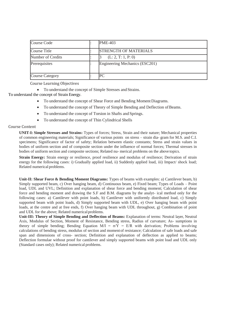| <b>Course Code</b>     | <b>PME-403</b>                 |
|------------------------|--------------------------------|
| Course Title           | <b>STRENGTH OF MATERIALS</b>   |
| Number of Credits      | (L: 2, T: 1, P: 0)             |
| Prerequisites          | Engineering Mechanics (ESC201) |
| <b>Course Category</b> | PС                             |

Course Learning Objectives

To understand the concept of Simple Stresses and Strains.

To understand the concept of Strain Energy.

- To understand the concept of Shear Force and Bending Moment Diagrams.
- To understand the concept of Theory of Simple Bending and Deflection of Beams.
- To understand the concept of Torsion in Shafts and Springs.
- To understand the concept of Thin Cylindrical Shells

#### Course Content

**UNIT-I: Simple Stresses and Strains:** Types of forces; Stress, Strain and their nature; Mechanical properties of common engineering materials; Significance of various points on stress – strain dia- gram for M.S. and C.I. specimens; Significance of factor of safety; Relation between elastic constants; Stress and strain values in bodies of uniform section and of composite section under the influence of normal forces; Thermal stresses in bodies of uniform section and composite sections; Related nu- merical problems on the above topics.

**Strain Energy:** Strain energy or resilience, proof resilience and modulus of resilience; Derivation of strain energy for the following cases: i) Gradually applied load, ii) Suddenly applied load, iii) Impact/ shock load; Related numerical problems.

**Unit-II: Shear Force & Bending Moment Diagrams:** Types of beams with examples: a) Cantilever beam, b) Simply supported beam, c) Over hanging beam, d) Continuous beam, e) Fixed beam; Types of Loads – Point load, UDL and UVL; Definition and explanation of shear force and bending moment; Calculation of shear force and bending moment and drawing the S.F and B.M. diagrams by the analyt- ical method only for the following cases: a) Cantilever with point loads, b) Cantilever with uniformly distributed load, c) Simply supported beam with point loads, d) Simply supported beam with UDL, e) Over hanging beam with point loads, at the centre and at free ends, f) Over hanging beam with UDL throughout, g) Combination of point and UDL for the above; Related numerical problems.

**Unit-III: Theory of Simple Bending and Deflection of Beams:** Explanation of terms: Neutral layer, Neutral Axis, Modulus of Section, Moment of Resistance, Bending stress, Radius of curvature; As- sumptions in theory of simple bending; Bending Equation  $M/I = \sigma/Y = E/R$  with derivation; Problems involving calculations of bending stress, modulus of section and momentof resistance; Calculation of safe loads and safe span and dimensions of cross- section; Definition and explanation of deflection as applied to beams; Deflection formulae without proof for cantilever and simply supported beams with point load and UDL only (Standard cases only); Related numerical problems.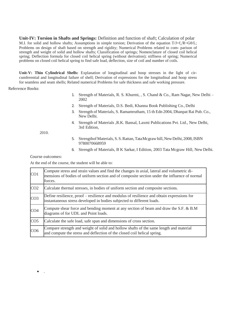**Unit-IV: Torsion in Shafts and Springs:** Definition and function of shaft; Calculation of polar M.I. for solid and hollow shafts; Assumptions in simple torsion; Derivation of the equation  $T/J=f_s/R = G\theta/L$ ; Problems on design of shaft based on strength and rigidity; Numerical Problems related to com- parison of strength and weight of solid and hollow shafts; Classification of springs; Nomenclature of closed coil helical spring; Deflection formula for closed coil helical spring (without derivation); stiffness of spring; Numerical problems on closed coil helical spring to find safe load, deflection, size of coil and number of coils.

**Unit-V: Thin Cylindrical Shells:** Explanation of longitudinal and hoop stresses in the light of circumferential and longitudinal failure of shell; Derivation of expressions for the longitudinal and hoop stress for seamless and seam shells; Related numerical Problems for safe thickness and safe working pressure.

Reference Books:

- 1. Strength of Materials, R. S. Khurmi, , S. Chand & Co., Ram Nagar, New Delhi 2002
- 2. Strength of Materials, D.S. Bedi, Khanna Book Publishing Co., Delhi
- 3. Strength of Materials, S. Ramamrutham, 15 th Edn 2004, Dhanpat Rai Pub. Co., New Delhi.
- 4. Strength of Materials ,R.K. Bansal, Laxmi Publications Pvt. Ltd., New Delhi, 3rd Edition,

2010.

- 5. Strengthof Materials, S.S. Rattan, TataMcgrawhill, New Delhi, 2008, ISBN 9780070668959
- 6. Strength of Materials, B K Sarkar, I Edition, 2003 Tata Mcgraw Hill, New Delhi.

Course outcomes:

.

At the end of the course, the student will be able to:

| CO <sub>1</sub> | Compute stress and strain values and find the changes in axial, lateral and volumetric di-<br>mensions of bodies of uniform section and of composite section under the influence of normal<br>forces. |  |  |  |
|-----------------|-------------------------------------------------------------------------------------------------------------------------------------------------------------------------------------------------------|--|--|--|
| CO <sub>2</sub> | Calculate thermal stresses, in bodies of uniform section and composite sections.                                                                                                                      |  |  |  |
| CO <sub>3</sub> | Define resilience, proof – resilience and modulus of resilience and obtain expressions for<br>instantaneous stress developed in bodies subjected to different loads.                                  |  |  |  |
| CO <sub>4</sub> | Compute shear force and bending moment at any section of beam and draw the S.F. & B.M<br>diagrams of for UDL and Point loads.                                                                         |  |  |  |
| CO <sub>5</sub> | Calculate the safe load, safe span and dimensions of cross section.                                                                                                                                   |  |  |  |
| CO6             | Compare strength and weight of solid and hollow shafts of the same length and material<br>and compute the stress and deflection of the closed coil helical spring.                                    |  |  |  |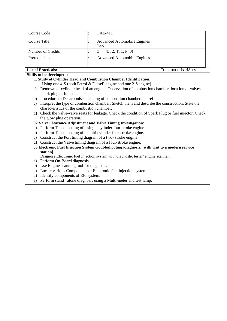| Course Code       | <b>PAE-411</b>                     |
|-------------------|------------------------------------|
| Course Title      | Advanced Automobile Engines<br>Lab |
| Number of Credits | (L: 2, T: 1, P: 0)                 |
| Prerequisites     | Advanced Automobile Engines        |

#### **List of Practicals:** Total periods: 48hrs.

#### **Skills to be developed :**

#### **1. Study of Cylinder Head and Combustion Chamber Identification:**

- [Using one 4-S (both Petrol & Diesel) engine and one 2-S engine]
- a) Removal of cylinder head of an engine. Observation of combustion chamber, location of valves, spark plug or Injector.
- b) Procedure to Decarbonise, cleaning of combustion chamber and refit.
- c) Interpret the type of combustion chamber. Sketch them and describe the construction. State the characteristics of the combustion chamber.
- d) Check the valve-valve seats for leakage. Check the condition of Spark Plug or fuel injector. Check the glow plug operation.

#### **02 Valve Clearance Adjustment and Valve Timing Investigation:**

- a) Perform Tappet setting of a single cylinder four-stroke engine.
- b) Perform Tappet setting of a multi cylinder four-stroke engine.
- c) Construct the Port timing diagram of a two- stroke engine.
- d) Construct the Valve timing diagram of a four-stroke engine.
- **03 Electronic Fuel Injection System troubleshooting /diagnosis: [with visit to a modern service station].**

Diagnose Electronic fuel Injection system with diagnostic tester/ engine scanner.

- a) Perform On-Board diagnosis.
- b) Use Engine scanning tool for diagnosis.
- c) Locate various Components of Electronic fuel injection system.
- d) Identify components of EFI system.
- e) Perform stand –alone diagnosis using a Multi-meter and test lamp.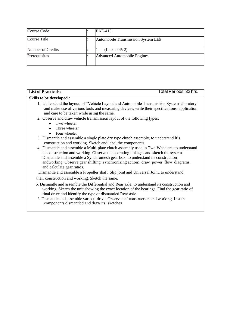| Course Code       | <b>PAE-413</b>                     |
|-------------------|------------------------------------|
| Course Title      | Automobile Transmission System Lab |
| Number of Credits | (L: 0T: 0P: 2)                     |
| Prerequisites     | Advanced Automobile Engines        |

| <b>Skills to be developed :</b><br>1. Understand the layout, of "Vehicle Layout and Automobile Transmission System laboratory"<br>and make use of various tools and measuring devices, write their specifications, application<br>and care to be taken while using the same.<br>2. Observe and draw vehicle transmission layout of the following types:                                                                                                   |  |
|-----------------------------------------------------------------------------------------------------------------------------------------------------------------------------------------------------------------------------------------------------------------------------------------------------------------------------------------------------------------------------------------------------------------------------------------------------------|--|
|                                                                                                                                                                                                                                                                                                                                                                                                                                                           |  |
|                                                                                                                                                                                                                                                                                                                                                                                                                                                           |  |
| Two wheeler<br>Three wheeler                                                                                                                                                                                                                                                                                                                                                                                                                              |  |
| Four wheeler<br>$\bullet$<br>3. Dismantle and assemble a single plate dry type clutch assembly, to understand it's<br>construction and working. Sketch and label the components.                                                                                                                                                                                                                                                                          |  |
| 4. Dismantle and assemble a Multi-plate clutch assembly used in Two Wheelers, to understand<br>its construction and working. Observe the operating linkages and sketch the system.<br>Dismantle and assemble a Synchromesh gear box, to understand its construction<br>andworking. Observe gear shifting (synchronizing action), draw power flow diagrams,<br>and calculate gear ratios.                                                                  |  |
| Dismantle and assemble a Propeller shaft, Slip joint and Universal Joint, to understand                                                                                                                                                                                                                                                                                                                                                                   |  |
| their construction and working. Sketch the same.<br>6. Dismantle and assemble the Differential and Rear axle, to understand its construction and<br>working. Sketch the unit showing the exact location of the bearings. Find the gear ratio of<br>final drive and identify the type of dismantled Rear axle.<br>5. Dismantle and assemble various-drive. Observe its' construction and working. List the<br>components dismantled and draw its' sketches |  |